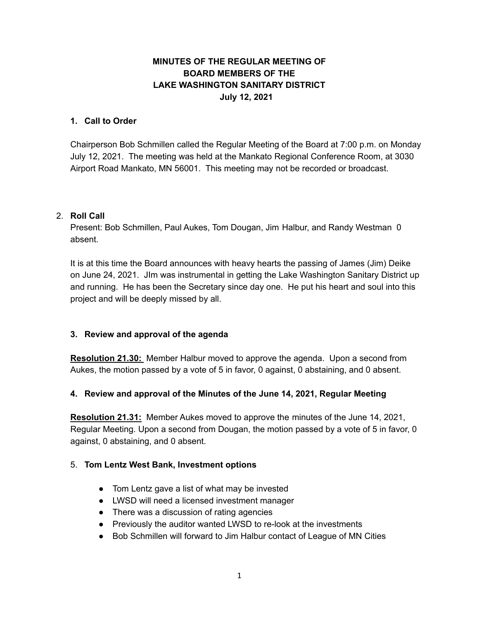# **MINUTES OF THE REGULAR MEETING OF BOARD MEMBERS OF THE LAKE WASHINGTON SANITARY DISTRICT July 12, 2021**

### **1. Call to Order**

Chairperson Bob Schmillen called the Regular Meeting of the Board at 7:00 p.m. on Monday July 12, 2021. The meeting was held at the Mankato Regional Conference Room, at 3030 Airport Road Mankato, MN 56001. This meeting may not be recorded or broadcast.

### 2. **Roll Call**

Present: Bob Schmillen, Paul Aukes, Tom Dougan, Jim Halbur, and Randy Westman 0 absent.

It is at this time the Board announces with heavy hearts the passing of James (Jim) Deike on June 24, 2021. JIm was instrumental in getting the Lake Washington Sanitary District up and running. He has been the Secretary since day one. He put his heart and soul into this project and will be deeply missed by all.

### **3. Review and approval of the agenda**

**Resolution 21.30:** Member Halbur moved to approve the agenda. Upon a second from Aukes, the motion passed by a vote of 5 in favor, 0 against, 0 abstaining, and 0 absent.

### **4. Review and approval of the Minutes of the June 14, 2021, Regular Meeting**

**Resolution 21.31:** Member Aukes moved to approve the minutes of the June 14, 2021, Regular Meeting. Upon a second from Dougan, the motion passed by a vote of 5 in favor, 0 against, 0 abstaining, and 0 absent.

#### 5. **Tom Lentz West Bank, Investment options**

- Tom Lentz gave a list of what may be invested
- LWSD will need a licensed investment manager
- There was a discussion of rating agencies
- Previously the auditor wanted LWSD to re-look at the investments
- Bob Schmillen will forward to Jim Halbur contact of League of MN Cities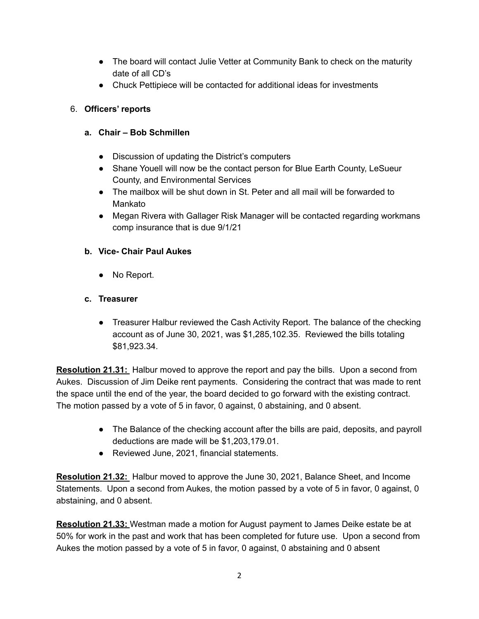- The board will contact Julie Vetter at Community Bank to check on the maturity date of all CD's
- Chuck Pettipiece will be contacted for additional ideas for investments

# 6. **Officers' reports**

# **a. Chair – Bob Schmillen**

- **●** Discussion of updating the District's computers
- **●** Shane Youell will now be the contact person for Blue Earth County, LeSueur County, and Environmental Services
- **●** The mailbox will be shut down in St. Peter and all mail will be forwarded to Mankato
- **●** Megan Rivera with Gallager Risk Manager will be contacted regarding workmans comp insurance that is due 9/1/21

# **b. Vice- Chair Paul Aukes**

**●** No Report.

### **c. Treasurer**

**●** Treasurer Halbur reviewed the Cash Activity Report. The balance of the checking account as of June 30, 2021, was \$1,285,102.35. Reviewed the bills totaling \$81,923.34.

**Resolution 21.31:** Halbur moved to approve the report and pay the bills. Upon a second from Aukes. Discussion of Jim Deike rent payments. Considering the contract that was made to rent the space until the end of the year, the board decided to go forward with the existing contract. The motion passed by a vote of 5 in favor, 0 against, 0 abstaining, and 0 absent.

- **●** The Balance of the checking account after the bills are paid, deposits, and payroll deductions are made will be \$1,203,179.01.
- **●** Reviewed June, 2021, financial statements.

**Resolution 21.32:** Halbur moved to approve the June 30, 2021, Balance Sheet, and Income Statements. Upon a second from Aukes, the motion passed by a vote of 5 in favor, 0 against, 0 abstaining, and 0 absent.

**Resolution 21.33:** Westman made a motion for August payment to James Deike estate be at 50% for work in the past and work that has been completed for future use. Upon a second from Aukes the motion passed by a vote of 5 in favor, 0 against, 0 abstaining and 0 absent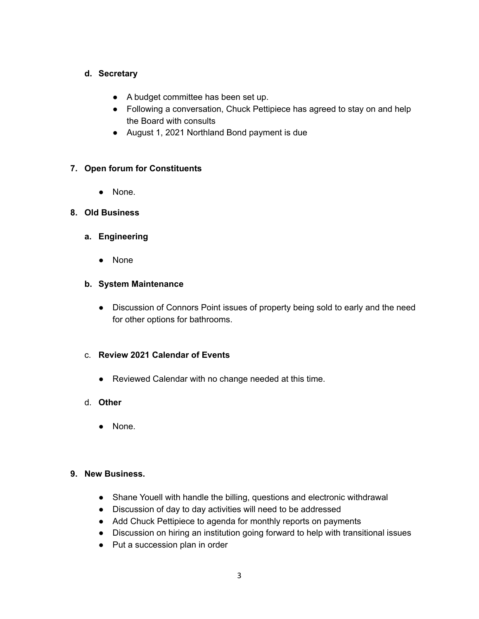### **d. Secretary**

- A budget committee has been set up.
- Following a conversation, Chuck Pettipiece has agreed to stay on and help the Board with consults
- August 1, 2021 Northland Bond payment is due

### **7. Open forum for Constituents**

● None.

### **8. Old Business**

#### **a. Engineering**

● None

#### **b. System Maintenance**

● Discussion of Connors Point issues of property being sold to early and the need for other options for bathrooms.

### c. **Review 2021 Calendar of Events**

- Reviewed Calendar with no change needed at this time.
- d. **Other**
	- None.

#### **9. New Business.**

- Shane Youell with handle the billing, questions and electronic withdrawal
- Discussion of day to day activities will need to be addressed
- Add Chuck Pettipiece to agenda for monthly reports on payments
- Discussion on hiring an institution going forward to help with transitional issues
- Put a succession plan in order